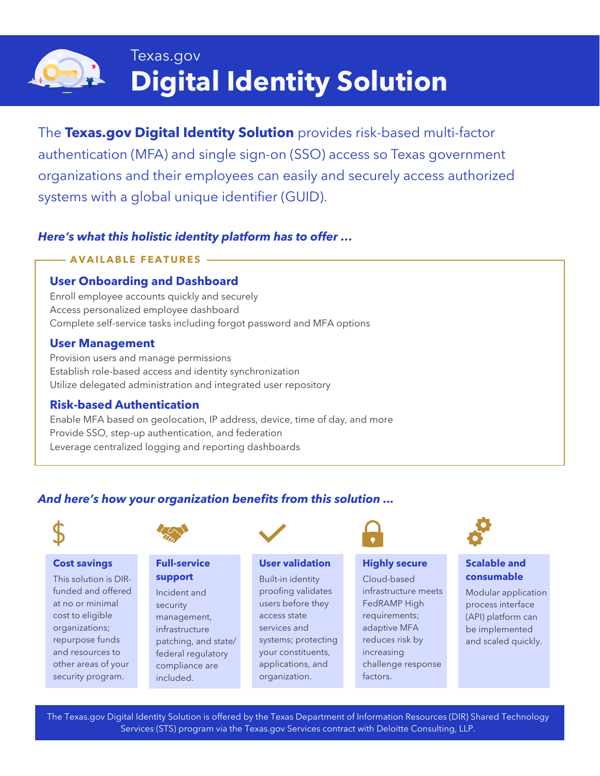

# Texas.gov **Digital Identity Solution**

The **Texas.gov Digital Identity Solution** provides risk-based multi-factor authentication (MFA) and single sign-on (SSO) access so Texas government organizations and their employees can easily and securely access authorized systems with a global unique identifier (GUID).

### *Here's what this holistic identity platform has to offer …*

### **AVAILABLE FEATURES**

### **User Onboarding and Dashboard**

Enroll employee accounts quickly and securely Access personalized employee dashboard Complete self-service tasks including forgot password and MFA options

### **User Management**

Provision users and manage permissions Establish role-based access and identity synchronization Utilize delegated administration and integrated user repository

### **Risk-based Authentication**

Enable MFA based on geolocation, IP address, device, time of day, and more Provide SSO, step-up authentication, and federation Leverage centralized logging and reporting dashboards

### *And here's how your organization benefits from this solution ...*



## **Cost savings**

This solution is DIRfunded and offered at no or minimal cost to eligible organizations; repurpose funds and resources to other areas of your security program.



### **Full-service support**

Incident and security management, infrastructure patching, and state/ federal regulatory compliance are included.



### **User validation**

Built-in identity proofing validates users before they access state services and systems; protecting your constituents, applications, and organization.



### **Highly secure**

Cloud-based infrastructure meets FedRAMP High requirements; adaptive MFA reduces risk by increasing challenge response factors.



### **Scalable and consumable**

Modular application process interface (API) platform can be implemented and scaled quickly.

The Texas.gov Digital Identity Solution is offered by the Texas Department of Information Resources (DIR) Shared Technology Services (STS) program via the Texas.gov Services contract with Deloitte Consulting, LLP.